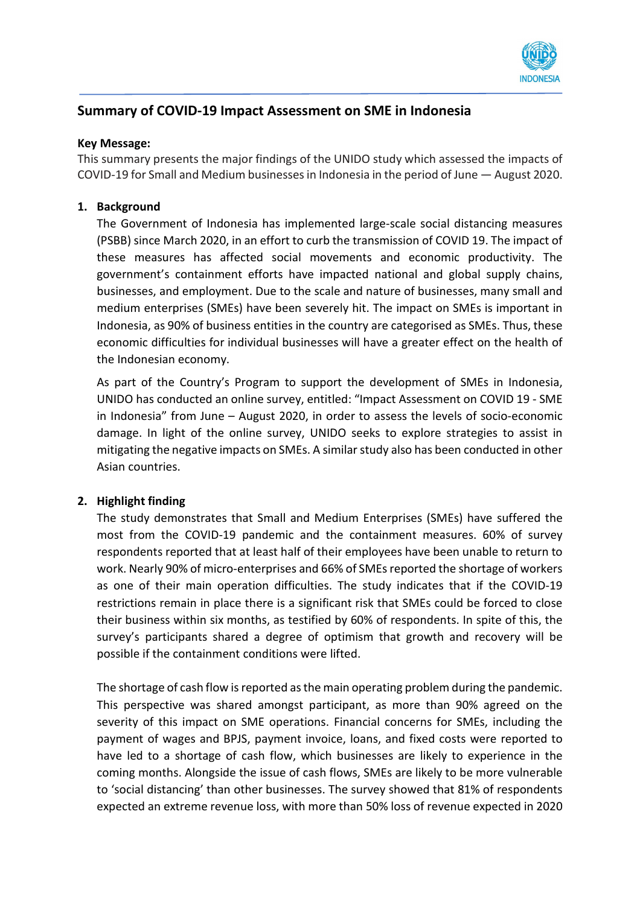

## **Summary of COVID-19 Impact Assessment on SME in Indonesia**

## **Key Message:**

This summary presents the major findings of the UNIDO study which assessed the impacts of COVID-19 for Small and Medium businesses in Indonesia in the period of June — August 2020.

## **1. Background**

The Government of Indonesia has implemented large-scale social distancing measures (PSBB) since March 2020, in an effort to curb the transmission of COVID 19. The impact of these measures has affected social movements and economic productivity. The government's containment efforts have impacted national and global supply chains, businesses, and employment. Due to the scale and nature of businesses, many small and medium enterprises (SMEs) have been severely hit. The impact on SMEs is important in Indonesia, as 90% of business entities in the country are categorised as SMEs. Thus, these economic difficulties for individual businesses will have a greater effect on the health of the Indonesian economy.

As part of the Country's Program to support the development of SMEs in Indonesia, UNIDO has conducted an online survey, entitled: "Impact Assessment on COVID 19 - SME in Indonesia" from June – August 2020, in order to assess the levels of socio-economic damage. In light of the online survey, UNIDO seeks to explore strategies to assist in mitigating the negative impacts on SMEs. A similar study also has been conducted in other Asian countries.

## **2. Highlight finding**

The study demonstrates that Small and Medium Enterprises (SMEs) have suffered the most from the COVID-19 pandemic and the containment measures. 60% of survey respondents reported that at least half of their employees have been unable to return to work. Nearly 90% of micro-enterprises and 66% of SMEs reported the shortage of workers as one of their main operation difficulties. The study indicates that if the COVID-19 restrictions remain in place there is a significant risk that SMEs could be forced to close their business within six months, as testified by 60% of respondents. In spite of this, the survey's participants shared a degree of optimism that growth and recovery will be possible if the containment conditions were lifted.

The shortage of cash flow is reported as the main operating problem during the pandemic. This perspective was shared amongst participant, as more than 90% agreed on the severity of this impact on SME operations. Financial concerns for SMEs, including the payment of wages and BPJS, payment invoice, loans, and fixed costs were reported to have led to a shortage of cash flow, which businesses are likely to experience in the coming months. Alongside the issue of cash flows, SMEs are likely to be more vulnerable to 'social distancing' than other businesses. The survey showed that 81% of respondents expected an extreme revenue loss, with more than 50% loss of revenue expected in 2020